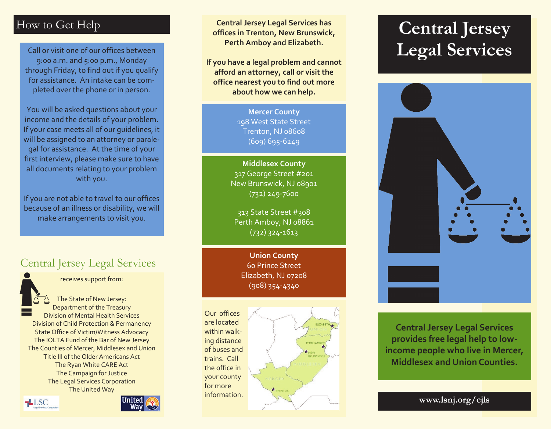# How to Get Help

Call or visit one of our offices between 9:00 a.m. and 5:00 p.m., Monday through Friday, to find out if you qualify for assistance. An intake can be completed over the phone or in person.

You will be asked questions about your income and the details of your problem. If your case meets all of our guidelines, it will be assigned to an attorney or paralegal for assistance. At the time of your first interview, please make sure to have all documents relating to your problem with you.

If you are not able to travel to our offices because of an illness or disability, we will make arrangements to visit you.

# Central Jersey Legal Services



receives support from:

The State of New Jersey: Department of the Treasury Division of Mental Health Services Division of Child Protection & Permanency State Office of Victim/Witness Advocacy The IOLTA Fund of the Bar of New Jersey The Counties of Mercer, Middlesex and Union Title III of the Older Americans Act The Ryan White CARE Act The Campaign for Justice The Legal Services Corporation The United Way

 $\equiv$ LSC



**Central Jersey Legal Services has offices in Trenton, New Brunswick, Perth Amboy and Elizabeth.** 

**If you have a legal problem and cannot afford an attorney, call or visit the office nearest you to find out more about how we can help.**

> **Mercer County** 198 West State Street Trenton, NJ 08608 (609) 695-6249

**Middlesex County** 317 George Street #201 New Brunswick, NJ 08901 (732) 249-7600

313 State Street #308 Perth Amboy, NJ 08861 (732) 324-1613

**Union County** 60 Prince Street Elizabeth, NJ 07208 (908) 354-4340

Our offices are located within walking distance of buses and trains. Call the office in your county for more information.



# **Central Jersey Legal Services**



**Central Jersey Legal Services provides free legal help to lowincome people who live in Mercer, Middlesex and Union Counties.**

**www.lsnj.org/cjls**